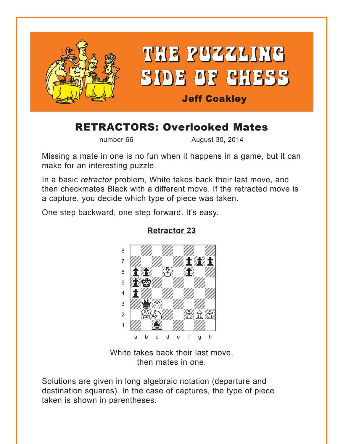<span id="page-0-0"></span>

# RETRACTORS: Overlooked Mates

number 66 August 30, 2014

Missing a mate in one is no fun when it happens in a game, but it can make for an interesting puzzle.

In a basic *retractor* problem, White takes back their last move, and then checkmates Black with a different move. If the retracted move is a capture, you decide which type of piece was taken.

One step backward, one step forward. It's easy.



**[Retractor 23](#page-5-0)**

White takes back their last move, then mates in one.

Solutions are given in long algebraic notation (departure and destination squares). In the case of captures, the type of piece taken is shown in parentheses.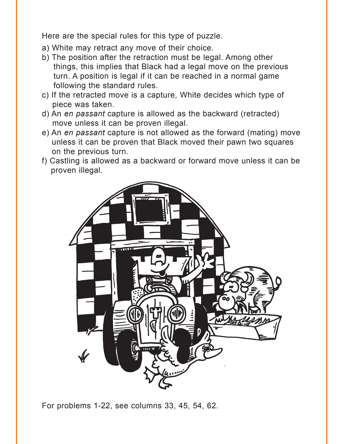Here are the special rules for this type of puzzle.

- a) White may retract any move of their choice.
- b) The position after the retraction must be legal. Among other things, this implies that Black had a legal move on the previous turn. A position is legal if it can be reached in a normal game following the standard rules.
- c) If the retracted move is a capture, White decides which type of piece was taken.
- d) An *en passant* capture is allowed as the backward (retracted) move unless it can be proven illegal.
- e) An *en passant* capture is not allowed as the forward (mating) move unless it can be proven that Black moved their pawn two squares on the previous turn.
- f) Castling is allowed as a backward or forward move unless it can be proven illegal.



For problems 1-22, see columns 33, 45, 54, 62.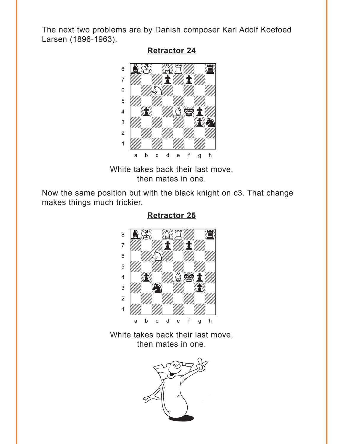<span id="page-2-0"></span>The next two problems are by Danish composer Karl Adolf Koefoed Larsen (1896-1963).



#### **[Retractor 24](#page-7-0)**

White takes back their last move, then mates in one.

Now the same position but with the black knight on c3. That change makes things much trickier.



**[Retractor 25](#page-7-0)**

White takes back their last move, then mates in one.

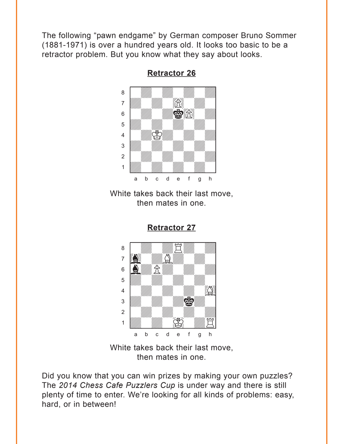<span id="page-3-0"></span>The following "pawn endgame" by German composer Bruno Sommer (1881-1971) is over a hundred years old. It looks too basic to be a retractor problem. But you know what they say about looks.



**[Retractor 26](#page-8-0)**

White takes back their last move, then mates in one.



**[Retractor 27](#page-8-0)**

White takes back their last move, then mates in one.

Did you know that you can win prizes by making your own puzzles? The *2014 Chess Cafe Puzzlers Cup* is under way and there is still plenty of time to enter. We're looking for all kinds of problems: easy, hard, or in between!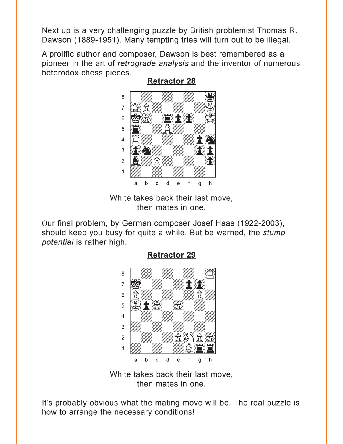<span id="page-4-0"></span>Next up is a very challenging puzzle by British problemist Thomas R. Dawson (1889-1951). Many tempting tries will turn out to be illegal.

A prolific author and composer, Dawson is best remembered as a pioneer in the art of *retrograde analysis* and the inventor of numerous heterodox chess pieces.



White takes back their last move, then mates in one.

Our final problem, by German composer Josef Haas (1922-2003), should keep you busy for quite a while. But be warned, the *stump potential* is rather high.



**[Retractor 29](#page-11-0)**

White takes back their last move, then mates in one.

It's probably obvious what the mating move will be. The real puzzle is how to arrange the necessary conditions!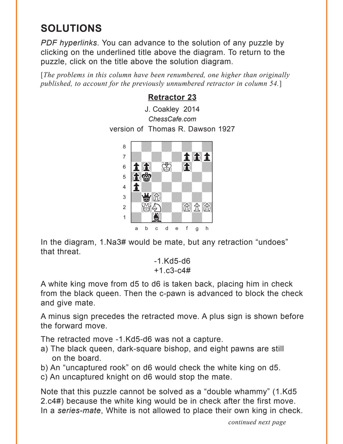## <span id="page-5-0"></span>**SOLUTIONS**

*PDF hyperlinks*. You can advance to the solution of any puzzle by clicking on the underlined title above the diagram. To return to the puzzle, click on the title above the solution diagram.

[*The problems in this column have been renumbered, one higher than originally published, to account for the previously unnumbered retractor in column 54.*]

#### **[Retractor 23](#page-0-0)**

J. Coakley 2014 *ChessCafe.com* version of Thomas R. Dawson 1927



In the diagram, 1.Na3# would be mate, but any retraction "undoes" that threat.

> -1.Kd5-d6 +1.c3-c4#

A white king move from d5 to d6 is taken back, placing him in check from the black queen. Then the c-pawn is advanced to block the check and give mate.

A minus sign precedes the retracted move. A plus sign is shown before the forward move.

The retracted move -1.Kd5-d6 was not a capture.

- a) The black queen, dark-square bishop, and eight pawns are still on the board.
- b) An "uncaptured rook" on d6 would check the white king on d5.
- c) An uncaptured knight on d6 would stop the mate.

Note that this puzzle cannot be solved as a "double whammy" (1.Kd5 2.c4#) because the white king would be in check after the first move. In a *series-mate*, White is not allowed to place their own king in check.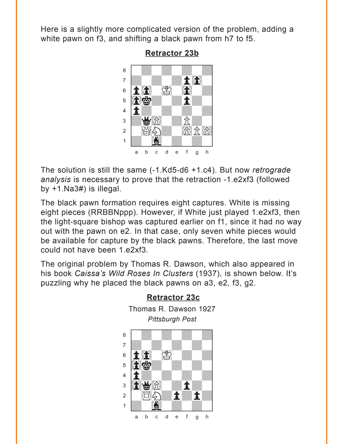Here is a slightly more complicated version of the problem, adding a white pawn on f3, and shifting a black pawn from h7 to f5.



**[Retractor 23b](#page-0-0)**

The solution is still the same (-1.Kd5-d6 +1.c4). But now *retrograde analysis* is necessary to prove that the retraction -1.e2xf3 (followed by +1.Na3#) is illegal.

The black pawn formation requires eight captures. White is missing eight pieces (RRBBNppp). However, if White just played 1.e2xf3, then the light-square bishop was captured earlier on f1, since it had no way out with the pawn on e2. In that case, only seven white pieces would be available for capture by the black pawns. Therefore, the last move could not have been 1.e2xf3.

The original problem by Thomas R. Dawson, which also appeared in his book *Caissa's Wild Roses In Clusters* (1937), is shown below. It's puzzling why he placed the black pawns on a3, e2, f3, g2.



**[Retractor 23c](#page-0-0)** Thomas R. Dawson 1927 *Pittsburgh Post*  w\_\_\_\_\_\_\_\_w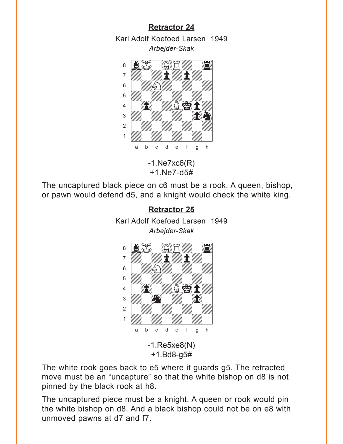### **[Retractor 24](#page-2-0)**

<span id="page-7-0"></span>Karl Adolf Koefoed Larsen 1949 *Arbejder-Skak* where  $\frac{1}{2}$  is the set of  $\frac{1}{2}$  in  $\frac{1}{2}$  is the set of  $\frac{1}{2}$  in  $\frac{1}{2}$  is the set of  $\frac{1}{2}$ 



 $-1.Ne7xc6(R)$ +1.Ne7-d5#

The uncaptured black piece on c6 must be a rook. A queen, bishop, or pawn would defend d5, and a knight would check the white king.

#### **[Retractor 25](#page-2-0)**





The white rook goes back to e5 where it guards g5. The retracted move must be an "uncapture" so that the white bishop on d8 is not pinned by the black rook at h8.

The uncaptured piece must be a knight. A queen or rook would pin the white bishop on d8. And a black bishop could not be on e8 with unmoved pawns at d7 and f7.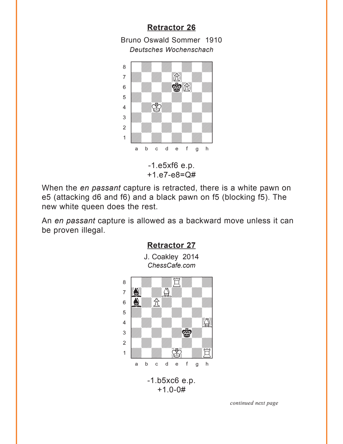### **[Retractor 26](#page-3-0)**

<span id="page-8-0"></span>Bruno Oswald Sommer 1910 *Deutsches Wochenschach*



-1.e5xf6 e.p. +1.e7-e8=Q#

When the *en passant* capture is retracted, there is a white pawn on e5 (attacking d6 and f6) and a black pawn on f5 (blocking f5). The new white queen does the rest.

An *en passant* capture is allowed as a backward move unless it can be proven illegal.

**[Retractor 27](#page-3-0)**



## +1.0-0#

*continued next page*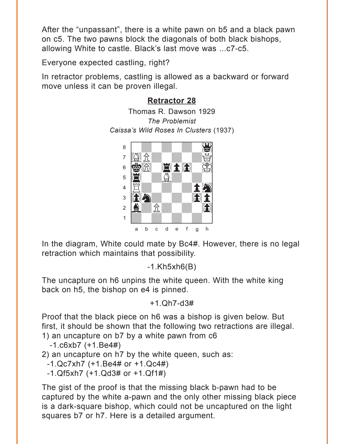<span id="page-9-0"></span>After the "unpassant", there is a white pawn on b5 and a black pawn on c5. The two pawns block the diagonals of both black bishops, allowing White to castle. Black's last move was ...c7-c5.

Everyone expected castling, right?

In retractor problems, castling is allowed as a backward or forward move unless it can be proven illegal.

## **[Retractor 28](#page-4-0)**

Thomas R. Dawson 1929 *The Problemist Caissa's Wild Roses In Clusters* (1937)



In the diagram, White could mate by Bc4#. However, there is no legal retraction which maintains that possibility.

-1.Kh5xh6(B)

The uncapture on h6 unpins the white queen. With the white king back on h5, the bishop on e4 is pinned.

+1.Qh7-d3#

Proof that the black piece on h6 was a bishop is given below. But first, it should be shown that the following two retractions are illegal. 1) an uncapture on b7 by a white pawn from c6

 $-1.6$  $k$ b7  $(+1.Be4\#)$ 

2) an uncapture on h7 by the white queen, such as:

-1.Qc7xh7 (+1.Be4# or +1.Qc4#)

-1.Qf5xh7 (+1.Qd3# or +1.Qf1#)

The gist of the proof is that the missing black b-pawn had to be captured by the white a-pawn and the only other missing black piece is a dark-square bishop, which could not be uncaptured on the light squares b7 or h7. Here is a detailed argument.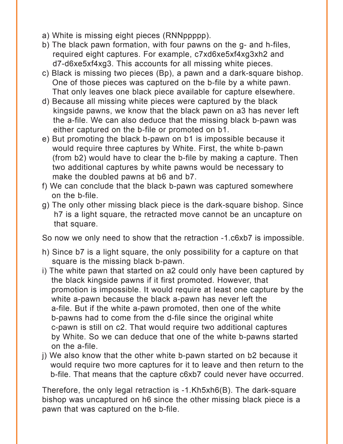- a) White is missing eight pieces (RNNppppp).
- b) The black pawn formation, with four pawns on the g- and h-files, required eight captures. For example, c7xd6xe5xf4xg3xh2 and d7-d6xe5xf4xg3. This accounts for all missing white pieces.
- c) Black is missing two pieces (Bp), a pawn and a dark-square bishop. One of those pieces was captured on the b-file by a white pawn. That only leaves one black piece available for capture elsewhere.
- d) Because all missing white pieces were captured by the black kingside pawns, we know that the black pawn on a3 has never left the a-file. We can also deduce that the missing black b-pawn was either captured on the b-file or promoted on b1.
- e) But promoting the black b-pawn on b1 is impossible because it would require three captures by White. First, the white b-pawn (from b2) would have to clear the b-file by making a capture. Then two additional captures by white pawns would be necessary to make the doubled pawns at b6 and b7.
- f) We can conclude that the black b-pawn was captured somewhere on the b-file.
- g) The only other missing black piece is the dark-square bishop. Since h7 is a light square, the retracted move cannot be an uncapture on that square.

So now we only need to show that the retraction -1.c6xb7 is impossible.

- h) Since b7 is a light square, the only possibility for a capture on that square is the missing black b-pawn.
- i) The white pawn that started on a2 could only have been captured by the black kingside pawns if it first promoted. However, that promotion is impossible. It would require at least one capture by the white a-pawn because the black a-pawn has never left the a-file. But if the white a-pawn promoted, then one of the white b-pawns had to come from the d-file since the original white c-pawn is still on c2. That would require two additional captures by White. So we can deduce that one of the white b-pawns started on the a-file.
- j) We also know that the other white b-pawn started on b2 because it would require two more captures for it to leave and then return to the b-file. That means that the capture c6xb7 could never have occurred.

Therefore, the only legal retraction is -1.Kh5xh6(B). The dark-square bishop was uncaptured on h6 since the other missing black piece is a pawn that was captured on the b-file.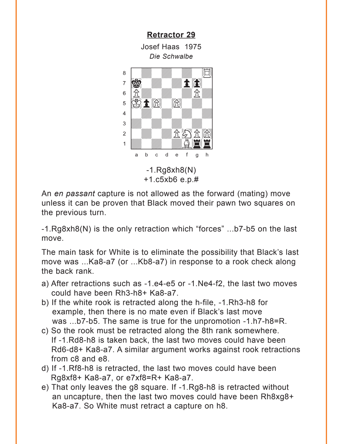<span id="page-11-0"></span>**[Retractor 29](#page-4-0)** Josef Haas 1975 *Die Schwalbe* -1.Rg8xh8(N) +1.c5xb6 e.p.#  $\frac{1}{\sqrt{2}}$  $\bullet$   $\blacksquare$ **bion and the computation of the computation of the computation of the computation of the computation**  $6 \frac{R}{B}$  $\frac{1}{2}$ 4 | *William William William William William William William William William William William William William William William William William William William William William William William William William William William W*  $\frac{1}{\sqrt{2}}$  $2$   $\frac{1}{2}$   $\frac{1}{2}$   $\frac{1}{2}$   $\frac{1}{2}$   $\frac{1}{2}$   $\frac{1}{2}$   $\frac{1}{2}$  $\frac{1}{2}$ a b c d e f g h

An *en passant* capture is not allowed as the forward (mating) move unless it can be proven that Black moved their pawn two squares on the previous turn.

-1.Rg8xh8(N) is the only retraction which "forces" ...b7-b5 on the last move.

The main task for White is to eliminate the possibility that Black's last move was ...Ka8-a7 (or ...Kb8-a7) in response to a rook check along the back rank.

- a) After retractions such as -1.e4-e5 or -1.Ne4-f2, the last two moves could have been Rh3-h8+ Ka8-a7.
- b) If the white rook is retracted along the h-file, -1.Rh3-h8 for example, then there is no mate even if Black's last move was ...b7-b5. The same is true for the unpromotion -1.h7-h8=R.
- c) So the rook must be retracted along the 8th rank somewhere. If -1.Rd8-h8 is taken back, the last two moves could have been Rd6-d8+ Ka8-a7. A similar argument works against rook retractions from c8 and e8.
- d) If -1.Rf8-h8 is retracted, the last two moves could have been Rg8xf8+ Ka8-a7, or e7xf8=R+ Ka8-a7.
- e) That only leaves the g8 square. If -1.Rg8-h8 is retracted without an uncapture, then the last two moves could have been Rh8xg8+ Ka8-a7. So White must retract a capture on h8.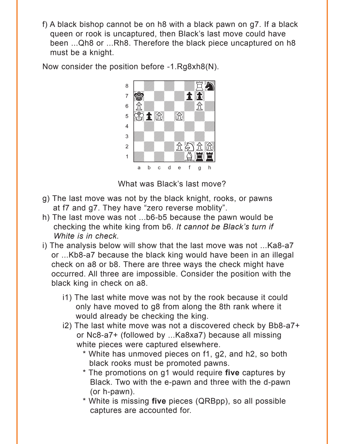f) A black bishop cannot be on h8 with a black pawn on g7. If a black queen or rook is uncaptured, then Black's last move could have been ...Qh8 or ...Rh8. Therefore the black piece uncaptured on h8 must be a knight.

Now consider the position before -1.Rg8xh8(N).



What was Black's last move?

- g) The last move was not by the black knight, rooks, or pawns at f7 and g7. They have "zero reverse moblity".
- h) The last move was not ...b6-b5 because the pawn would be checking the white king from b6. *It cannot be Black's turn if White is in check.*
- i) The analysis below will show that the last move was not ...Ka8-a7 or ...Kb8-a7 because the black king would have been in an illegal check on a8 or b8. There are three ways the check might have occurred. All three are impossible. Consider the position with the black king in check on a8.
	- i1) The last white move was not by the rook because it could only have moved to g8 from along the 8th rank where it would already be checking the king.
	- i2) The last white move was not a discovered check by Bb8-a7+ or Nc8-a7+ (followed by ...Ka8xa7) because all missing white pieces were captured elsewhere.
		- \* White has unmoved pieces on f1, g2, and h2, so both black rooks must be promoted pawns.
		- \* The promotions on g1 would require **five** captures by Black. Two with the e-pawn and three with the d-pawn (or h-pawn).
		- \* White is missing **five** pieces (QRBpp), so all possible captures are accounted for.